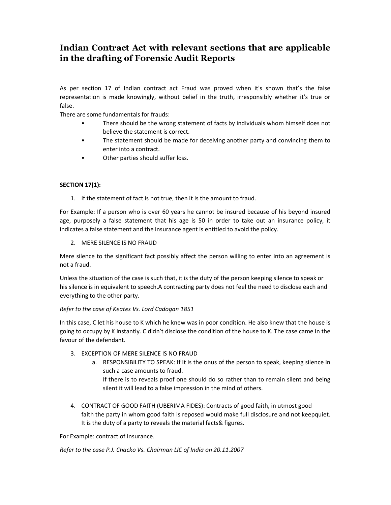# Indian Contract Act with relevant sections that are applicable in the drafting of Forensic Audit Reports

As per section 17 of Indian contract act Fraud was proved when it's shown that's the false representation is made knowingly, without belief in the truth, irresponsibly whether it's true or false.

There are some fundamentals for frauds:

- There should be the wrong statement of facts by individuals whom himself does not believe the statement is correct.
- The statement should be made for deceiving another party and convincing them to enter into a contract.
- Other parties should suffer loss.

## SECTION 17(1):

1. If the statement of fact is not true, then it is the amount to fraud.

For Example: If a person who is over 60 years he cannot be insured because of his beyond insured age, purposely a false statement that his age is 50 in order to take out an insurance policy, it indicates a false statement and the insurance agent is entitled to avoid the policy.

2. MERE SILENCE IS NO FRAUD

Mere silence to the significant fact possibly affect the person willing to enter into an agreement is not a fraud.

Unless the situation of the case is such that, it is the duty of the person keeping silence to speak or his silence is in equivalent to speech.A contracting party does not feel the need to disclose each and everything to the other party.

### Refer to the case of Keates Vs. Lord Cadogan 1851

In this case, C let his house to K which he knew was in poor condition. He also knew that the house is going to occupy by K instantly. C didn't disclose the condition of the house to K. The case came in the favour of the defendant.

- 3. EXCEPTION OF MERE SILENCE IS NO FRAUD
	- a. RESPONSIBILITY TO SPEAK: If it is the onus of the person to speak, keeping silence in such a case amounts to fraud.
		- If there is to reveals proof one should do so rather than to remain silent and being silent it will lead to a false impression in the mind of others.
- 4. CONTRACT OF GOOD FAITH (UBERIMA FIDES): Contracts of good faith, in utmost good faith the party in whom good faith is reposed would make full disclosure and not keepquiet. It is the duty of a party to reveals the material facts& figures.

For Example: contract of insurance.

Refer to the case P.J. Chacko Vs. Chairman LIC of India on 20.11.2007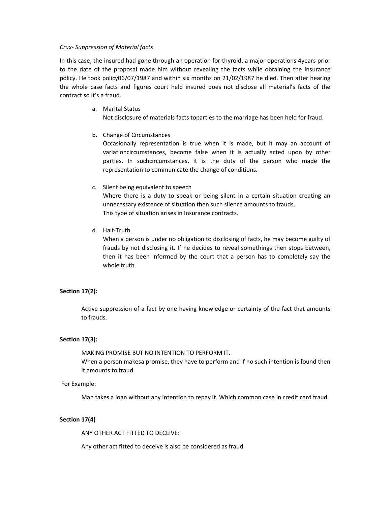#### Crux- Suppression of Material facts

In this case, the insured had gone through an operation for thyroid, a major operations 4years prior to the date of the proposal made him without revealing the facts while obtaining the insurance policy. He took policy06/07/1987 and within six months on 21/02/1987 he died. Then after hearing the whole case facts and figures court held insured does not disclose all material's facts of the contract so it's a fraud.

- a. Marital Status Not disclosure of materials facts toparties to the marriage has been held for fraud.
- b. Change of Circumstances

Occasionally representation is true when it is made, but it may an account of variationcircumstances, become false when it is actually acted upon by other parties. In suchcircumstances, it is the duty of the person who made the representation to communicate the change of conditions.

## c. Silent being equivalent to speech

Where there is a duty to speak or being silent in a certain situation creating an unnecessary existence of situation then such silence amounts to frauds. This type of situation arises in Insurance contracts.

d. Half-Truth

When a person is under no obligation to disclosing of facts, he may become guilty of frauds by not disclosing it. If he decides to reveal somethings then stops between, then it has been informed by the court that a person has to completely say the whole truth.

### Section 17(2):

Active suppression of a fact by one having knowledge or certainty of the fact that amounts to frauds.

### Section 17(3):

MAKING PROMISE BUT NO INTENTION TO PERFORM IT. When a person makesa promise, they have to perform and if no such intention is found then it amounts to fraud.

### For Example:

Man takes a loan without any intention to repay it. Which common case in credit card fraud.

## Section 17(4)

ANY OTHER ACT FITTED TO DECEIVE:

Any other act fitted to deceive is also be considered as fraud.